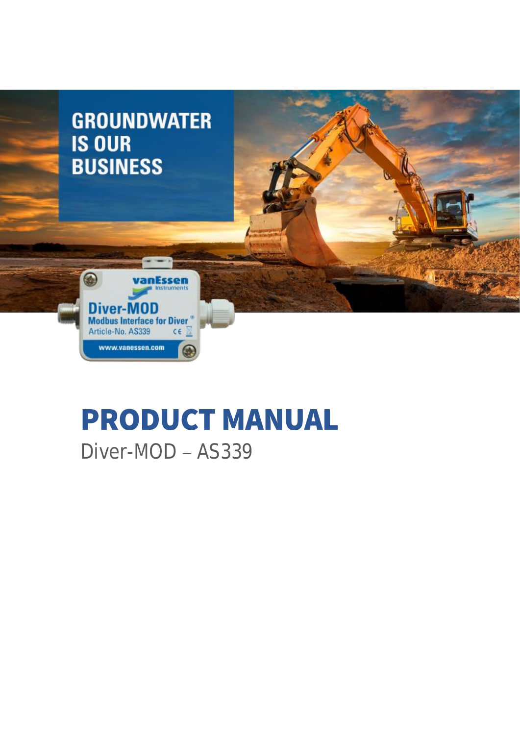

# **PRODUCT MANUAL** Diver-MOD - AS339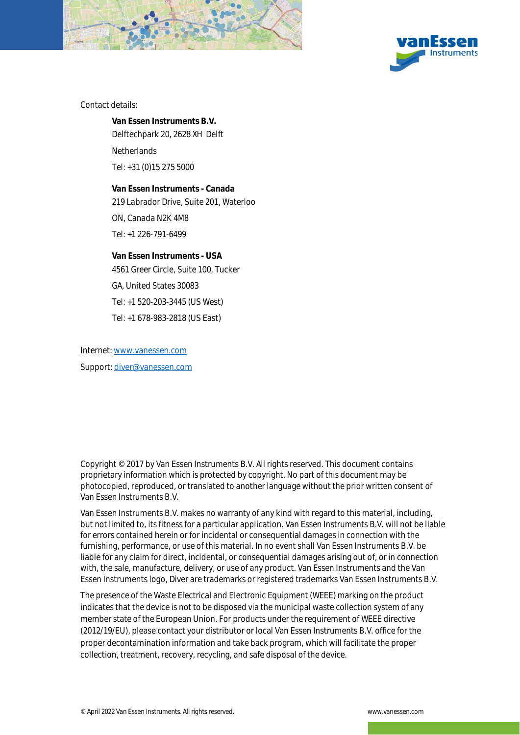



Contact details:

**Van Essen Instruments B.V.**  Delftechpark 20, 2628 XH Delft

**Netherlands** 

Tel: +31 (0)15 275 5000

**Van Essen Instruments - Canada** 219 Labrador Drive, Suite 201, Waterloo

ON, Canada N2K 4M8

Tel: +1 226-791-6499

**Van Essen Instruments - USA** 4561 Greer Circle, Suite 100, Tucker GA, United States 30083 Tel: +1 520-203-3445 (US West) Tel: +1 678-983-2818 (US East)

Internet[: www.vanessen.com](http://www.vanessen.com/) Support: [diver@vanessen.com](mailto:diver@vanessen.com)

Copyright © 2017 by Van Essen Instruments B.V. All rights reserved. This document contains proprietary information which is protected by copyright. No part of this document may be photocopied, reproduced, or translated to another language without the prior written consent of Van Essen Instruments B.V.

Van Essen Instruments B.V. makes no warranty of any kind with regard to this material, including, but not limited to, its fitness for a particular application. Van Essen Instruments B.V. will not be liable for errors contained herein or for incidental or consequential damages in connection with the furnishing, performance, or use of this material. In no event shall Van Essen Instruments B.V. be liable for any claim for direct, incidental, or consequential damages arising out of, or in connection with, the sale, manufacture, delivery, or use of any product. Van Essen Instruments and the Van Essen Instruments logo, Diver are trademarks or registered trademarks Van Essen Instruments B.V.

The presence of the Waste Electrical and Electronic Equipment (WEEE) marking on the product indicates that the device is not to be disposed via the municipal waste collection system of any member state of the European Union. For products under the requirement of WEEE directive (2012/19/EU), please contact your distributor or local Van Essen Instruments B.V. office for the proper decontamination information and take back program, which will facilitate the proper collection, treatment, recovery, recycling, and safe disposal of the device.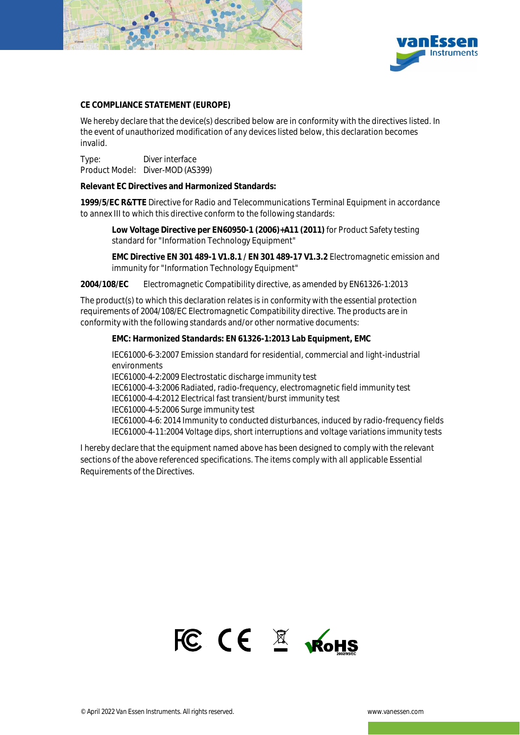



#### **CE COMPLIANCE STATEMENT (EUROPE)**

We hereby declare that the device(s) described below are in conformity with the directives listed. In the event of unauthorized modification of any devices listed below, this declaration becomes invalid.

Type: Diver interface Product Model: Diver-MOD (AS399)

**Relevant EC Directives and Harmonized Standards:** 

**1999/5/EC R&TTE** Directive for Radio and Telecommunications Terminal Equipment in accordance to annex III to which this directive conform to the following standards:

**Low Voltage Directive per EN60950-1 (2006)+A11 (2011)** for Product Safety testing standard for "Information Technology Equipment"

**EMC Directive EN 301 489-1 V1.8.1 / EN 301 489-17 V1.3.2** Electromagnetic emission and immunity for "Information Technology Equipment"

**2004/108/EC** Electromagnetic Compatibility directive, as amended by EN61326-1:2013

The product(s) to which this declaration relates is in conformity with the essential protection requirements of 2004/108/EC Electromagnetic Compatibility directive. The products are in conformity with the following standards and/or other normative documents:

**EMC: Harmonized Standards: EN 61326-1:2013 Lab Equipment, EMC**

IEC61000-6-3:2007 Emission standard for residential, commercial and light-industrial environments

IEC61000-4-2:2009 Electrostatic discharge immunity test

IEC61000-4-3:2006 Radiated, radio-frequency, electromagnetic field immunity test IEC61000-4-4:2012 Electrical fast transient/burst immunity test

IEC61000-4-5:2006 Surge immunity test

IEC61000-4-6: 2014 Immunity to conducted disturbances, induced by radio-frequency fields IEC61000-4-11:2004 Voltage dips, short interruptions and voltage variations immunity tests

I hereby declare that the equipment named above has been designed to comply with the relevant sections of the above referenced specifications. The items comply with all applicable Essential Requirements of the Directives.

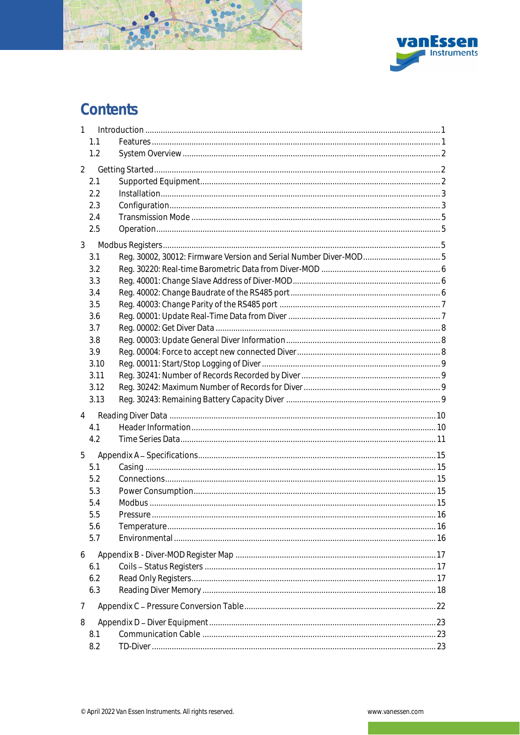

# Contents

| $\mathbf{1}$   |              |                                                                  |  |
|----------------|--------------|------------------------------------------------------------------|--|
|                | 1.1          |                                                                  |  |
|                | 1.2          |                                                                  |  |
| $\overline{2}$ |              |                                                                  |  |
|                | 2.1          |                                                                  |  |
|                | 2.2          |                                                                  |  |
|                | 2.3          |                                                                  |  |
|                | 2.4          |                                                                  |  |
|                | 2.5          |                                                                  |  |
| 3              |              |                                                                  |  |
|                | 3.1          | Reg. 30002, 30012: Firmware Version and Serial Number Diver-MOD5 |  |
|                | 3.2          |                                                                  |  |
|                | 3.3          |                                                                  |  |
|                | 3.4          |                                                                  |  |
|                | 3.5          |                                                                  |  |
|                | 3.6          |                                                                  |  |
|                | 3.7          |                                                                  |  |
|                | 3.8          |                                                                  |  |
|                | 3.9          |                                                                  |  |
|                | 3.10<br>3.11 |                                                                  |  |
|                | 3.12         |                                                                  |  |
|                | 3.13         |                                                                  |  |
|                |              |                                                                  |  |
| 4              |              |                                                                  |  |
|                | 4.1<br>4.2   |                                                                  |  |
|                |              |                                                                  |  |
| 5              |              |                                                                  |  |
|                | 5.1          |                                                                  |  |
|                | 5.2          |                                                                  |  |
|                | 5.3<br>5.4   |                                                                  |  |
|                | 5.5          |                                                                  |  |
|                | 5.6          |                                                                  |  |
|                | 5.7          |                                                                  |  |
|                |              |                                                                  |  |
| 6              |              |                                                                  |  |
|                | 6.1<br>6.2   |                                                                  |  |
|                | 6.3          |                                                                  |  |
|                |              |                                                                  |  |
| 7              |              |                                                                  |  |
| 8              |              |                                                                  |  |
|                | 8.1          |                                                                  |  |
|                | 8.2          |                                                                  |  |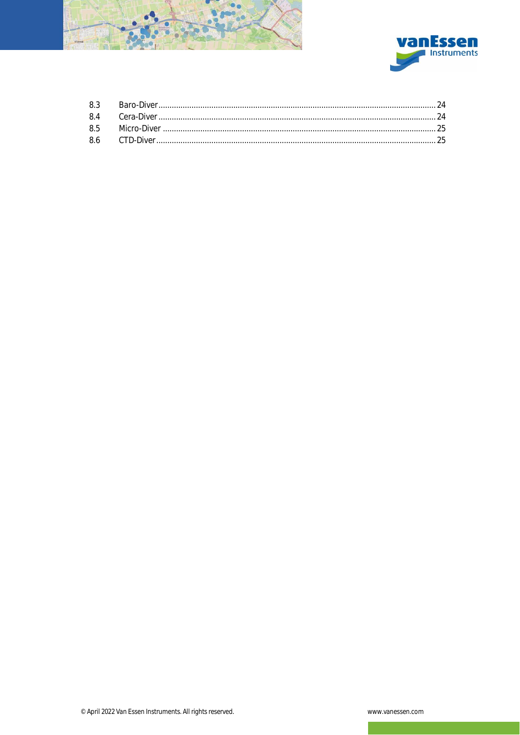

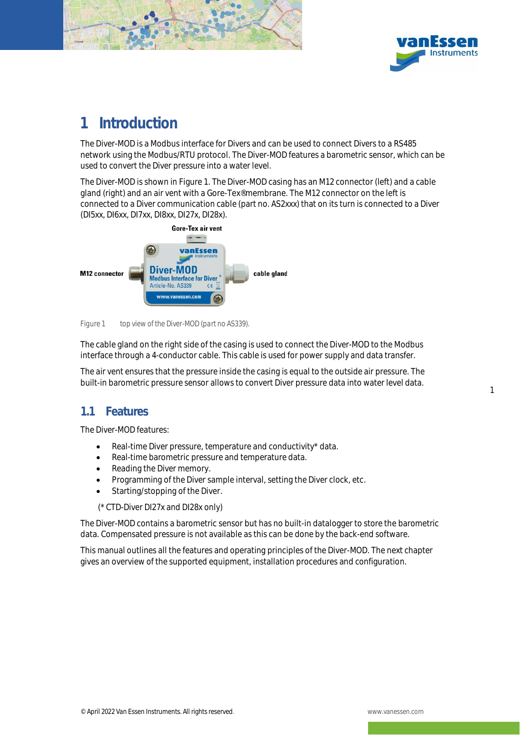



1

# <span id="page-5-0"></span>1 Introduction

The Diver-MOD is a Modbus interface for Divers and can be used to connect Divers to a RS485 network using the Modbus/RTU protocol. The Diver-MOD features a barometric sensor, which can be used to convert the Diver pressure into a water level.

The Diver-MOD is shown in [Figure 1.](#page-5-2) The Diver-MOD casing has an M12 connector (left) and a cable gland (right) and an air vent with a Gore-Tex® membrane. The M12 connector on the left is connected to a Diver communication cable (part no. AS2xxx) that on its turn is connected to a Diver (DI5xx, DI6xx, DI7xx, DI8xx, DI27x, DI28x).



*Figure 1 top view of the Diver-MOD (part no AS339).*

<span id="page-5-2"></span>The cable gland on the right side of the casing is used to connect the Diver-MOD to the Modbus interface through a 4-conductor cable. This cable is used for power supply and data transfer.

The air vent ensures that the pressure inside the casing is equal to the outside air pressure. The built-in barometric pressure sensor allows to convert Diver pressure data into water level data.

### <span id="page-5-1"></span>11 Features

The Diver-MOD features:

- Real-time Diver pressure, temperature and conductivity\* data.
- Real-time barometric pressure and temperature data.
- Reading the Diver memory.
- Programming of the Diver sample interval, setting the Diver clock, etc.
- Starting/stopping of the Diver.

(\* CTD-Diver DI27x and DI28x only)

The Diver-MOD contains a barometric sensor but has no built-in datalogger to store the barometric data. Compensated pressure is not available as this can be done by the back-end software.

This manual outlines all the features and operating principles of the Diver-MOD. The next chapter gives an overview of the supported equipment, installation procedures and configuration.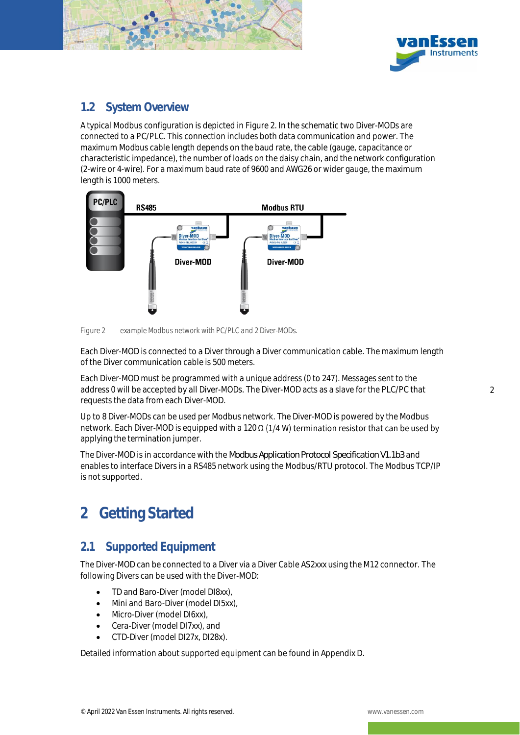



### <span id="page-6-0"></span>1.2 System Overview

A typical Modbus configuration is depicted i[n Figure 2.](#page-6-3) In the schematic two Diver-MODs are connected to a PC/PLC. This connection includes both data communication and power. The maximum Modbus cable length depends on the baud rate, the cable (gauge, capacitance or characteristic impedance), the number of loads on the daisy chain, and the network configuration (2-wire or 4-wire). For a maximum baud rate of 9600 and AWG26 or wider gauge, the maximum length is 1000 meters.



<span id="page-6-3"></span>*Figure 2 example Modbus network with PC/PLC and 2 Diver-MODs.*

Each Diver-MOD is connected to a Diver through a Diver communication cable. The maximum length of the Diver communication cable is 500 meters.

Each Diver-MOD must be programmed with a unique address (0 to 247). Messages sent to the address 0 will be accepted by all Diver-MODs. The Diver-MOD acts as a slave for the PLC/PC that requests the data from each Diver-MOD.

Up to 8 Diver-MODs can be used per Modbus network. The Diver-MOD is powered by the Modbus network. Each Diver-MOD is equipped with a 120  $\Omega$  (1/4 W) termination resistor that can be used by applying the termination jumper.

The Diver-MOD is in accordance with the *Modbus Application Protocol Specification V1.1b3* and enables to interface Divers in a RS485 network using the Modbus/RTU protocol. The Modbus TCP/IP is not supported.

# <span id="page-6-1"></span>2 Getting Started

### <span id="page-6-2"></span>2.1 Supported Equipment

The Diver-MOD can be connected to a Diver via a Diver Cable AS2xxx using the M12 connector. The following Divers can be used with the Diver-MOD:

- TD and Baro-Diver (model DI8xx),
- Mini and Baro-Diver (model DI5xx),
- Micro-Diver (model DI6xx),
- Cera-Diver (model DI7xx), and
- CTD-Diver (model DI27x, DI28x).

Detailed information about supported equipment can be found in Appendix D.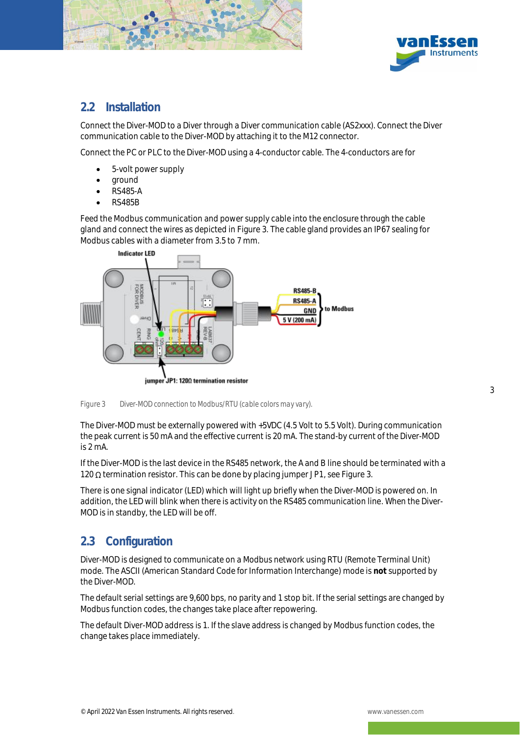



### <span id="page-7-0"></span>2.2 Installation

Connect the Diver-MOD to a Diver through a Diver communication cable (AS2xxx). Connect the Diver communication cable to the Diver-MOD by attaching it to the M12 connector.

Connect the PC or PLC to the Diver-MOD using a 4-conductor cable. The 4-conductors are for

- 5-volt power supply
- ground
- RS485-A
- RS485B

Feed the Modbus communication and power supply cable into the enclosure through the cable gland and connect the wires as depicted in [Figure 3.](#page-7-2) The cable gland provides an IP67 sealing for Modbus cables with a diameter from 3.5 to 7 mm.



<span id="page-7-2"></span>*Figure 3 Diver-MOD connection to Modbus/RTU (cable colors may vary).*

The Diver-MOD must be externally powered with +5VDC (4.5 Volt to 5.5 Volt). During communication the peak current is 50 mA and the effective current is 20 mA. The stand-by current of the Diver-MOD is 2 mA.

If the Diver-MOD is the last device in the RS485 network, the A and B line should be terminated with a 120  $\Omega$  termination resistor. This can be done by placing jumper JP1, se[e Figure 3.](#page-7-2)

There is one signal indicator (LED) which will light up briefly when the Diver-MOD is powered on. In addition, the LED will blink when there is activity on the RS485 communication line. When the Diver-MOD is in standby, the LED will be off.

### <span id="page-7-1"></span>2.3 Configuration

Diver-MOD is designed to communicate on a Modbus network using RTU (Remote Terminal Unit) mode. The ASCII (American Standard Code for Information Interchange) mode is **not** supported by the Diver-MOD.

The default serial settings are 9,600 bps, no parity and 1 stop bit. If the serial settings are changed by Modbus function codes, the changes take place after repowering.

The default Diver-MOD address is 1. If the slave address is changed by Modbus function codes, the change takes place immediately.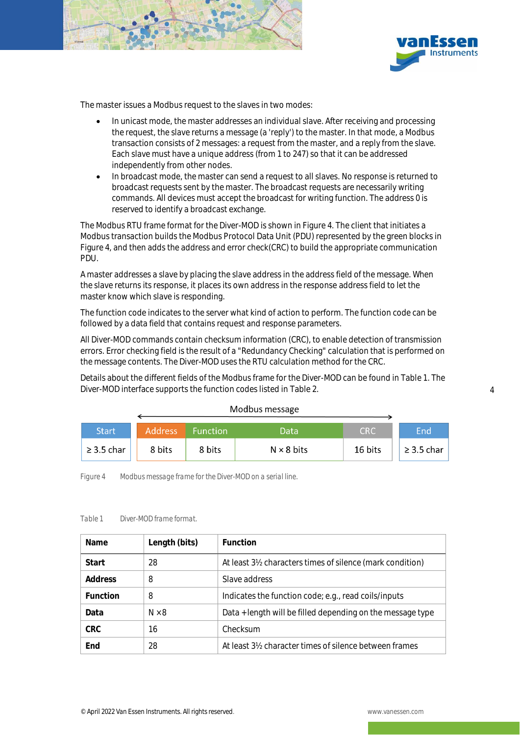



The master issues a Modbus request to the slaves in two modes:

- In unicast mode, the master addresses an individual slave. After receiving and processing the request, the slave returns a message (a 'reply') to the master. In that mode, a Modbus transaction consists of 2 messages: a request from the master, and a reply from the slave. Each slave must have a unique address (from 1 to 247) so that it can be addressed independently from other nodes.
- In broadcast mode, the master can send a request to all slaves. No response is returned to broadcast requests sent by the master. The broadcast requests are necessarily writing commands. All devices must accept the broadcast for writing function. The address 0 is reserved to identify a broadcast exchange.

The Modbus RTU frame format for the Diver-MOD is shown in [Figure 4.](#page-8-0) The client that initiates a Modbus transaction builds the Modbus Protocol Data Unit (PDU) represented by the green blocks in [Figure 4,](#page-8-0) and then adds the address and error check(CRC) to build the appropriate communication PDU.

A master addresses a slave by placing the slave address in the address field of the message. When the slave returns its response, it places its own address in the response address field to let the master know which slave is responding.

The function code indicates to the server what kind of action to perform. The function code can be followed by a data field that contains request and response parameters.

All Diver-MOD commands contain checksum information (CRC), to enable detection of transmission errors. Error checking field is the result of a "Redundancy Checking" calculation that is performed on the message contents. The Diver-MOD uses the RTU calculation method for the CRC.

Details about the different fields of the Modbus frame for the Diver-MOD can be found i[n Table 1.](#page-8-1) The Diver-MOD interface supports the function codes listed in [Table 2.](#page-9-4)

|  | Modbus message |
|--|----------------|
|--|----------------|

| Start/          | <b>Address</b> | Function <sup>1</sup> | Data              | <b>CRC</b> | End             |
|-----------------|----------------|-----------------------|-------------------|------------|-----------------|
| $\geq$ 3.5 char | 8 bits         | 8 bits                | $N \times 8$ bits | 16 bits    | $\geq$ 3.5 char |

<span id="page-8-0"></span>*Figure 4 Modbus message frame for the Diver-MOD on a serial line.*

#### <span id="page-8-1"></span>*Table 1 Diver-MOD frame format.*

| <b>Name</b> | Length (bits) | Function                                                                         |
|-------------|---------------|----------------------------------------------------------------------------------|
| Start       | 28            | At least 3½ characters times of silence (mark condition)                         |
| Address     | 8             | Slave address                                                                    |
| Function    | 8             | Indicates the function code; e.g., read coils/inputs                             |
| Data        | $N \times 8$  | Data + length will be filled depending on the message type                       |
| CRC.        | 16            | Checksum                                                                         |
| End         | 28            | At least 3 <sup>1</sup> / <sub>2</sub> character times of silence between frames |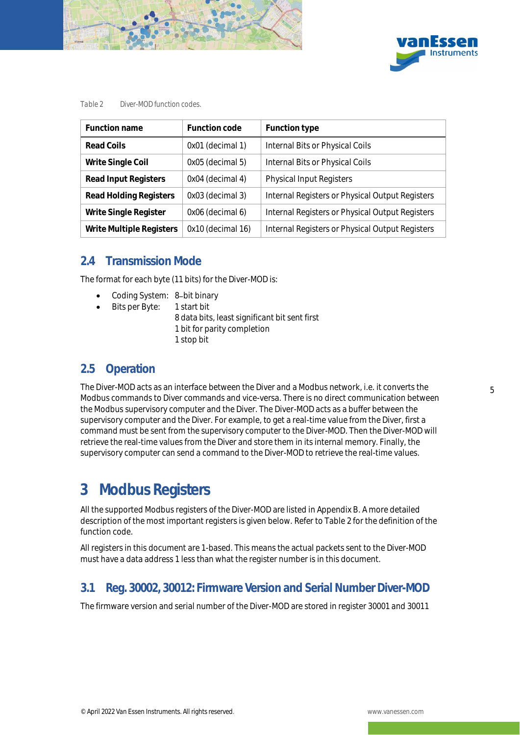



#### <span id="page-9-4"></span>*Table 2 Diver-MOD function codes.*

| Function name            | Function code     | Function type                                   |
|--------------------------|-------------------|-------------------------------------------------|
| Read Coils               | 0x01 (decimal 1)  | Internal Bits or Physical Coils                 |
| Write Single Coil        | 0x05 (decimal 5)  | Internal Bits or Physical Coils                 |
| Read Input Registers     | 0x04 (decimal 4)  | <b>Physical Input Registers</b>                 |
| Read Holding Registers   | 0x03 (decimal 3)  | Internal Registers or Physical Output Registers |
| Write Single Register    | 0x06 (decimal 6)  | Internal Registers or Physical Output Registers |
| Write Multiple Registers | 0x10 (decimal 16) | Internal Registers or Physical Output Registers |

### <span id="page-9-0"></span>2.4 Transmission Mode

The format for each byte (11 bits) for the Diver-MOD is:

- Coding System: 8-bit binary
- Bits per Byte: 1 start bit
	- 8 data bits, least significant bit sent first 1 bit for parity completion 1 stop bit

### <span id="page-9-1"></span>2.5 Operation

The Diver-MOD acts as an interface between the Diver and a Modbus network, i.e. it converts the Modbus commands to Diver commands and vice-versa. There is no direct communication between the Modbus supervisory computer and the Diver. The Diver-MOD acts as a buffer between the supervisory computer and the Diver. For example, to get a real-time value from the Diver, first a command must be sent from the supervisory computer to the Diver-MOD. Then the Diver-MOD will retrieve the real-time values from the Diver and store them in its internal memory. Finally, the supervisory computer can send a command to the Diver-MOD to retrieve the real-time values.

# <span id="page-9-2"></span>3 Modbus Registers

All the supported Modbus registers of the Diver-MOD are listed in Appendix B. A more detailed description of the most important registers is given below. Refer to [Table 2](#page-9-4) for the definition of the function code.

All registers in this document are 1-based. This means the actual packets sent to the Diver-MOD must have a data address 1 less than what the register number is in this document.

### <span id="page-9-3"></span>3.1 Reg. 30002, 30012: Firmware Version and Serial Number Diver-MOD

The firmware version and serial number of the Diver-MOD are stored in register 30001 and 30011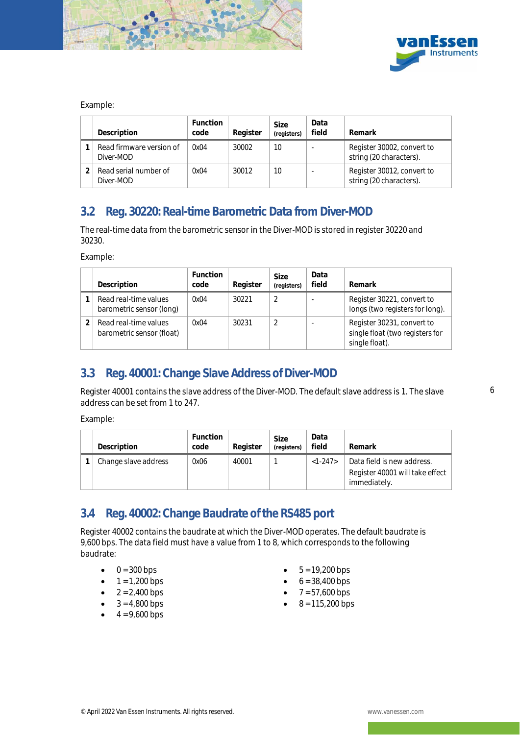



#### Example:

| Description                           | <b>Function</b><br>code | Register | Size<br>(registers) | Data<br>field | Remark                                                |
|---------------------------------------|-------------------------|----------|---------------------|---------------|-------------------------------------------------------|
| Read firmware version of<br>Diver-MOD | 0x04                    | 30002    | 10                  |               | Register 30002, convert to<br>string (20 characters). |
| Read serial number of<br>Diver-MOD    | 0x04                    | 30012    | 10                  |               | Register 30012, convert to<br>string (20 characters). |

### <span id="page-10-0"></span>3.2 Reg. 30220: Real-time Barometric Data from Diver-MOD

The real-time data from the barometric sensor in the Diver-MOD is stored in register 30220 and 30230.

Example:

| Description                                        | Function<br>code | Register | Size<br>(registers) | Data<br>field | Remark                                                                          |
|----------------------------------------------------|------------------|----------|---------------------|---------------|---------------------------------------------------------------------------------|
| Read real-time values<br>barometric sensor (long)  | 0x04             | 30221    |                     |               | Register 30221, convert to<br>longs (two registers for long).                   |
| Read real-time values<br>barometric sensor (float) | 0x04             | 30231    |                     |               | Register 30231, convert to<br>single float (two registers for<br>single float). |

### <span id="page-10-1"></span>3.3 Reg. 40001: Change Slave Address of Diver-MOD

Register 40001 contains the slave address of the Diver-MOD. The default slave address is 1. The slave address can be set from 1 to 247.

Example:

| Description          | <b>Function</b><br>code | Register | Size<br>(registers) | Data<br>field | Remark                                                                        |
|----------------------|-------------------------|----------|---------------------|---------------|-------------------------------------------------------------------------------|
| Change slave address | 0x06                    | 40001    |                     | $<1-247>$     | Data field is new address.<br>Register 40001 will take effect<br>immediately. |

### <span id="page-10-2"></span>3.4 Reg. 40002: Change Baudrate of the RS485 port

Register 40002 contains the baudrate at which the Diver-MOD operates. The default baudrate is 9,600 bps. The data field must have a value from 1 to 8, which corresponds to the following baudrate:

- $0 = 300$  bps
- $1 = 1,200$  bps
- $2 = 2,400$  bps
- $3 = 4,800$  bps
- $4 = 9,600$  bps
- $5 = 19,200$  bps
- $6 = 38,400$  bps
- $7 = 57,600$  bps
- $8 = 115,200$  bps

6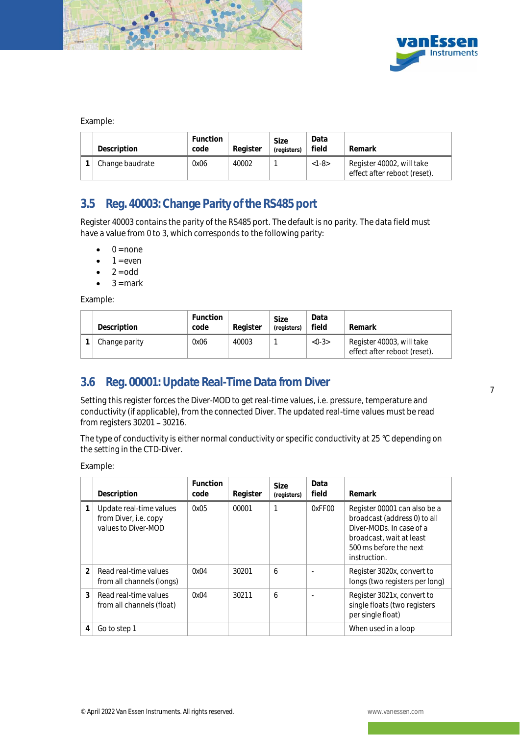



#### Example:

| Description     | <b>Function</b><br>code | Reaister | Size<br>(registers) | Data<br>field | Remark                                                    |
|-----------------|-------------------------|----------|---------------------|---------------|-----------------------------------------------------------|
| Change baudrate | 0x06                    | 40002    |                     | $<1-8>$       | Register 40002, will take<br>effect after reboot (reset). |

### <span id="page-11-0"></span>3.5 Reg. 40003: Change Parity of the RS485 port

Register 40003 contains the parity of the RS485 port. The default is no parity. The data field must have a value from 0 to 3, which corresponds to the following parity:

- $0 = none$
- $1 = even$
- $2 = odd$
- $3 =$  mark

Example:

| Description   | Function<br>code | Reaister | Size<br>(reaisters) | Data<br>field | Remark                                                    |
|---------------|------------------|----------|---------------------|---------------|-----------------------------------------------------------|
| Change parity | 0x06             | 40003    |                     | $<0-3>$       | Register 40003, will take<br>effect after reboot (reset). |

### <span id="page-11-1"></span>3.6 Reg. 00001: Update Real-Time Data from Diver

Setting this register forces the Diver-MOD to get real-time values, i.e. pressure, temperature and conductivity (if applicable), from the connected Diver. The updated real-time values must be read from registers  $30201 - 30216$ .

The type of conductivity is either normal conductivity or specific conductivity at 25 °C depending on the setting in the CTD-Diver.

Example:

|                | Description                                                             | Function<br>code | Register | <b>Size</b><br>(registers) | Data<br>field | Remark                                                                                                                                                         |
|----------------|-------------------------------------------------------------------------|------------------|----------|----------------------------|---------------|----------------------------------------------------------------------------------------------------------------------------------------------------------------|
|                | Update real-time values<br>from Diver, i.e. copy<br>values to Diver-MOD | 0x05             | 00001    |                            | 0xFF00        | Register 00001 can also be a<br>broadcast (address 0) to all<br>Diver-MODs. In case of a<br>broadcast, wait at least<br>500 ms before the next<br>instruction. |
| $\mathfrak{D}$ | Read real-time values<br>from all channels (longs)                      | 0x04             | 30201    | 6                          |               | Register 3020x, convert to<br>longs (two registers per long)                                                                                                   |
| 3              | Read real-time values<br>from all channels (float)                      | 0x04             | 30211    | 6                          |               | Register 3021x, convert to<br>single floats (two registers<br>per single float)                                                                                |
| 4              | Go to step 1                                                            |                  |          |                            |               | When used in a loop                                                                                                                                            |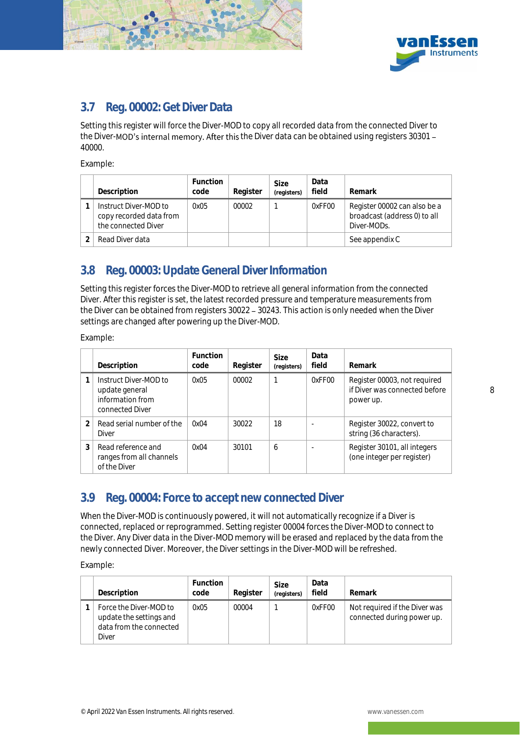



### <span id="page-12-0"></span>3.7 Reg. 00002: Get Diver Data

Setting this register will force the Diver-MOD to copy all recorded data from the connected Diver to the Diver-MOD's internal memory. After this the Diver data can be obtained using registers 30301 -40000.

Example:

| Description                                                             | <b>Function</b><br>code | Register | Size<br>(registers) | Data<br>field | Remark                                                                      |
|-------------------------------------------------------------------------|-------------------------|----------|---------------------|---------------|-----------------------------------------------------------------------------|
| Instruct Diver-MOD to<br>copy recorded data from<br>the connected Diver | 0x05                    | 00002    |                     | 0xFF00        | Register 00002 can also be a<br>broadcast (address 0) to all<br>Diver-MODs. |
| Read Diver data                                                         |                         |          |                     |               | See appendix C                                                              |

### <span id="page-12-1"></span>3.8 Reg. 00003: Update General Diver Information

Setting this register forces the Diver-MOD to retrieve all general information from the connected Diver. After this register is set, the latest recorded pressure and temperature measurements from the Diver can be obtained from registers 30022 - 30243. This action is only needed when the Diver settings are changed after powering up the Diver-MOD.

Example:

|   | Description                                                                    | <b>Function</b><br>code | Register | Size<br>(registers) | Data<br>field | Remark                                                                     |
|---|--------------------------------------------------------------------------------|-------------------------|----------|---------------------|---------------|----------------------------------------------------------------------------|
|   | Instruct Diver-MOD to<br>update general<br>information from<br>connected Diver | 0x05                    | 00002    |                     | 0xFF00        | Register 00003, not required<br>if Diver was connected before<br>power up. |
|   | Read serial number of the<br>Diver                                             | 0x04                    | 30022    | 18                  |               | Register 30022, convert to<br>string (36 characters).                      |
| 3 | Read reference and<br>ranges from all channels<br>of the Diver                 | 0x04                    | 30101    | 6                   |               | Register 30101, all integers<br>(one integer per register)                 |

### <span id="page-12-2"></span>3.9 Reg. 00004: Force to accept new connected Diver

When the Diver-MOD is continuously powered, it will not automatically recognize if a Diver is connected, replaced or reprogrammed. Setting register 00004 forces the Diver-MOD to connect to the Diver. Any Diver data in the Diver-MOD memory will be erased and replaced by the data from the newly connected Diver. Moreover, the Diver settings in the Diver-MOD will be refreshed.

Example:

| Description                                                                           | <b>Function</b><br>code | Register | Size<br>(registers) | Data<br>field | Remark                                                      |
|---------------------------------------------------------------------------------------|-------------------------|----------|---------------------|---------------|-------------------------------------------------------------|
| Force the Diver-MOD to<br>update the settings and<br>data from the connected<br>Diver | 0x05                    | 00004    |                     | 0xFF00        | Not required if the Diver was<br>connected during power up. |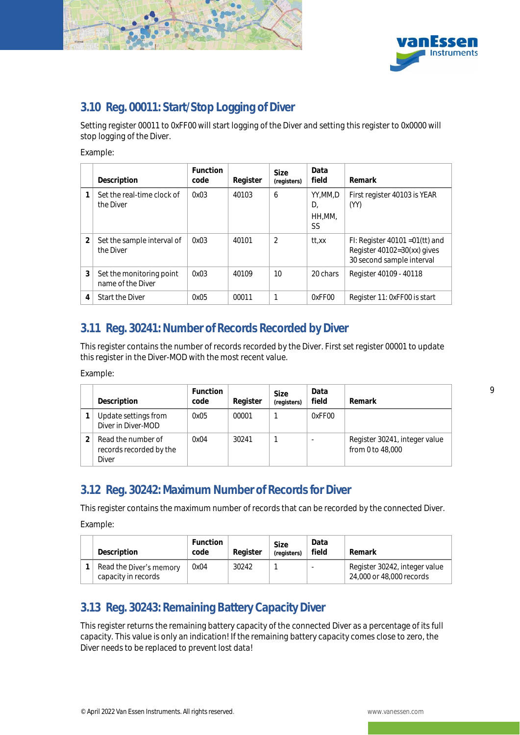



### <span id="page-13-0"></span>3.10 Reg. 00011: Start/Stop Logging of Diver

Setting register 00011 to 0xFF00 will start logging of the Diver and setting this register to 0x0000 will stop logging of the Diver.

Example:

|                | Description                                   | Function<br>code | Register | Size<br>(registers) | Data<br>field                 | Remark                                                                                        |
|----------------|-----------------------------------------------|------------------|----------|---------------------|-------------------------------|-----------------------------------------------------------------------------------------------|
|                | Set the real-time clock of<br>the Diver       | 0x03             | 40103    | 6                   | YY.MM.D<br>D.<br>HH,MM,<br>SS | First register 40103 is YEAR<br>(YY)                                                          |
| $\overline{2}$ | Set the sample interval of<br>the Diver       | 0x03             | 40101    | $\mathfrak{D}$      | tt.xx                         | FI: Register $40101 = 01(tt)$ and<br>Register 40102=30(xx) gives<br>30 second sample interval |
| 3              | Set the monitoring point<br>name of the Diver | 0x03             | 40109    | 10                  | 20 chars                      | Register 40109 - 40118                                                                        |
| 4              | Start the Diver                               | 0x05             | 00011    |                     | 0xFF00                        | Register 11: 0xFF00 is start                                                                  |

### <span id="page-13-1"></span>3.11 Reg. 30241: Number of Records Recorded by Diver

This register contains the number of records recorded by the Diver. First set register 00001 to update this register in the Diver-MOD with the most recent value.

Example:

| Description                                            | <b>Function</b><br>code | Register | <b>Size</b><br>(registers) | Data<br>field | Remark                                            |
|--------------------------------------------------------|-------------------------|----------|----------------------------|---------------|---------------------------------------------------|
| Update settings from<br>Diver in Diver-MOD             | 0x05                    | 00001    |                            | 0xFF00        |                                                   |
| Read the number of<br>records recorded by the<br>Diver | NxΩ4                    | 30241    |                            |               | Register 30241, integer value<br>from 0 to 48,000 |

### <span id="page-13-2"></span>3.12 Reg. 30242: Maximum Number of Records for Diver

This register contains the maximum number of records that can be recorded by the connected Diver.

Example:

| Description                                    | Function<br>code | Reaister | Size<br>(reaisters) | Data<br>field | Remark                                                    |
|------------------------------------------------|------------------|----------|---------------------|---------------|-----------------------------------------------------------|
| Read the Diver's memory<br>capacity in records | 0x04             | 30242    |                     |               | Register 30242, integer value<br>24,000 or 48,000 records |

### <span id="page-13-3"></span>3.13 Reg. 30243: Remaining Battery Capacity Diver

This register returns the remaining battery capacity of the connected Diver as a percentage of its full capacity. This value is only an indication! If the remaining battery capacity comes close to zero, the Diver needs to be replaced to prevent lost data!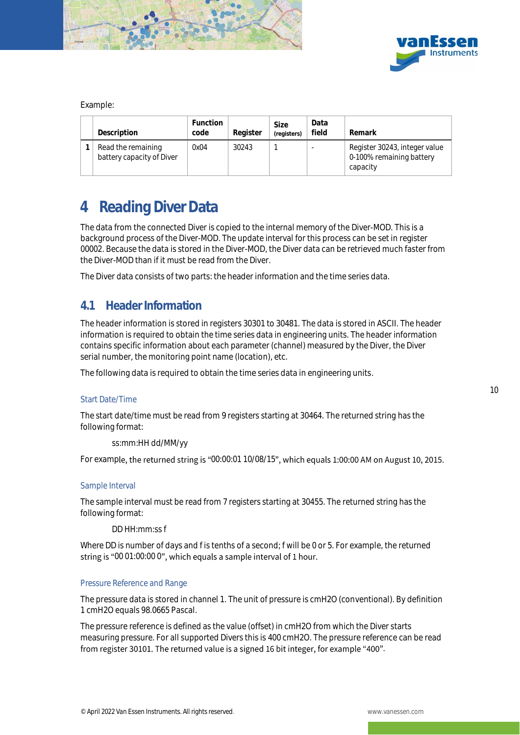



Example:

| Description                                     | Function<br>code | Register | Size<br>(registers) | Data<br>field | Remark                                                                |
|-------------------------------------------------|------------------|----------|---------------------|---------------|-----------------------------------------------------------------------|
| Read the remaining<br>battery capacity of Diver | 0x04             | 30243    |                     |               | Register 30243, integer value<br>0-100% remaining battery<br>capacity |

# <span id="page-14-0"></span>4 Reading Diver Data

The data from the connected Diver is copied to the internal memory of the Diver-MOD. This is a background process of the Diver-MOD. The update interval for this process can be set in register 00002. Because the data is stored in the Diver-MOD, the Diver data can be retrieved much faster from the Diver-MOD than if it must be read from the Diver.

The Diver data consists of two parts: the header information and the time series data.

### <span id="page-14-1"></span>4.1 Header Information

The header information is stored in registers 30301 to 30481. The data is stored in ASCII. The header information is required to obtain the time series data in engineering units. The header information contains specific information about each parameter (channel) measured by the Diver, the Diver serial number, the monitoring point name (location), etc.

The following data is required to obtain the time series data in engineering units.

#### Start Date/Time

The start date/time must be read from 9 registers starting at 30464. The returned string has the following format:

ss:mm:HH dd/MM/yy

For example, the returned string is "00:00:01 10/08/15", which equals 1:00:00 AM on August 10, 2015.

#### Sample Interval

The sample interval must be read from 7 registers starting at 30455. The returned string has the following format:

#### DD HH:mm:ss f

Where DD is number of days and f is tenths of a second; f will be 0 or 5. For example, the returned string is "00 01:00:00 0", which equals a sample interval of 1 hour.

#### Pressure Reference and Range

The pressure data is stored in channel 1. The unit of pressure is cmH2O (conventional). By definition 1 cmH2O equals 98.0665 Pascal.

The pressure reference is defined as the value (offset) in cmH2O from which the Diver starts measuring pressure. For all supported Divers this is 400 cmH2O. The pressure reference can be read from register 30101. The returned value is a signed 16 bit integer, for example "400".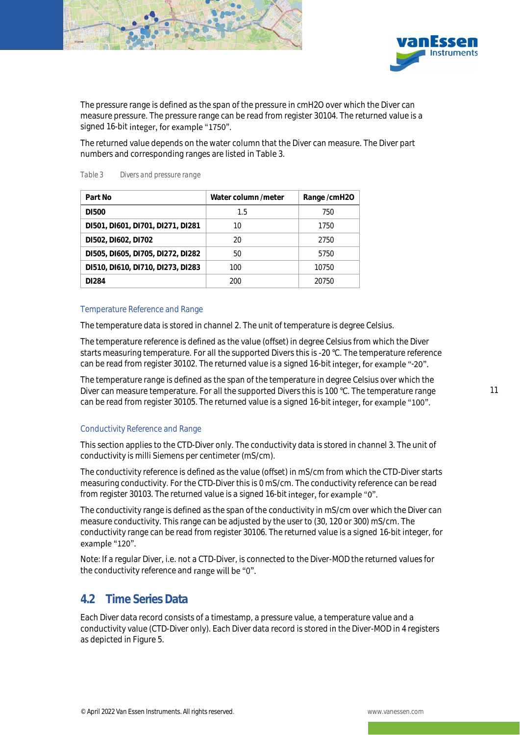



The pressure range is defined as the span of the pressure in cmH2O over which the Diver can measure pressure. The pressure range can be read from register 30104. The returned value is a signed 16-bit integer, for example "1750".

The returned value depends on the water column that the Diver can measure. The Diver part numbers and corresponding ranges are listed i[n Table 3.](#page-15-1)

| Part No                           | Water column /meter | Range/cmH2O |
|-----------------------------------|---------------------|-------------|
| DI500                             | 1.5                 | 750         |
| DI501, DI601, DI701, DI271, DI281 | 10                  | 1750        |
| D1502, D1602, D1702               | 20                  | 2750        |
| D1505, D1605, D1705, D1272, D1282 | 50                  | 5750        |
| D1510, D1610, D1710, D1273, D1283 | 100                 | 10750       |
| DI284                             | 200                 | 20750       |

<span id="page-15-1"></span>*Table 3 Divers and pressure range*

#### Temperature Reference and Range

The temperature data is stored in channel 2. The unit of temperature is degree Celsius.

The temperature reference is defined as the value (offset) in degree Celsius from which the Diver starts measuring temperature. For all the supported Divers this is -20 °C. The temperature reference can be read from register 30102. The returned value is a signed 16-bit integer, for example "-20".

The temperature range is defined as the span of the temperature in degree Celsius over which the Diver can measure temperature. For all the supported Divers this is 100 °C. The temperature range can be read from register 30105. The returned value is a signed 16-bit integer, for example "100".

#### Conductivity Reference and Range

This section applies to the CTD-Diver only. The conductivity data is stored in channel 3. The unit of conductivity is milli Siemens per centimeter (mS/cm).

The conductivity reference is defined as the value (offset) in mS/cm from which the CTD-Diver starts measuring conductivity. For the CTD-Diver this is 0 mS/cm. The conductivity reference can be read from register 30103. The returned value is a signed 16-bit integer, for example "0".

The conductivity range is defined as the span of the conductivity in mS/cm over which the Diver can measure conductivity. This range can be adjusted by the user to (30, 120 or 300) mS/cm. The conductivity range can be read from register 30106. The returned value is a signed 16-bit integer, for example "120".

Note: If a regular Diver, i.e. not a CTD-Diver, is connected to the Diver-MOD the returned values for the conductivity reference and range will be "0".

### <span id="page-15-0"></span>4.2 Time Series Data

Each Diver data record consists of a timestamp, a pressure value, a temperature value and a conductivity value (CTD-Diver only). Each Diver data record is stored in the Diver-MOD in 4 registers as depicted i[n Figure 5.](#page-16-0)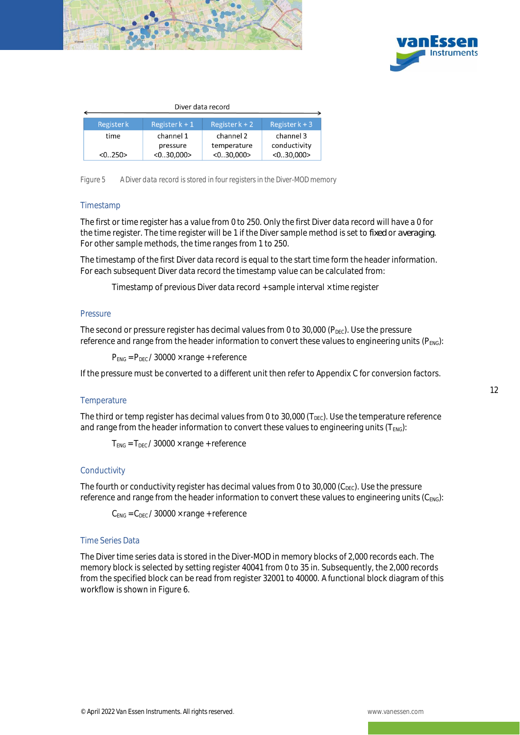



| Diver data record |                       |                  |                           |  |  |  |  |  |  |
|-------------------|-----------------------|------------------|---------------------------|--|--|--|--|--|--|
| Registerk         | Register $k + 1$      | Register $k + 2$ | Register $k + 3$          |  |  |  |  |  |  |
| time              | channel 1<br>pressure |                  | channel 3<br>conductivity |  |  |  |  |  |  |
| < 0.250>          | < 0.30,000            | < 0.30,000       | < 0.30,000                |  |  |  |  |  |  |

<span id="page-16-0"></span>*Figure 5 A Diver data record is stored in four registers in the Diver-MOD memory*

#### Timestamp

The first or time register has a value from 0 to 250. Only the first Diver data record will have a 0 for the time register. The time register will be 1 if the Diver sample method is set to *fixed* or *averaging*. For other sample methods, the time ranges from 1 to 250.

The timestamp of the first Diver data record is equal to the start time form the header information. For each subsequent Diver data record the timestamp value can be calculated from:

Timestamp of previous Diver data record + sample interval × time register

#### **Pressure**

The second or pressure register has decimal values from 0 to 30,000 ( $P_{\text{Dec}}$ ). Use the pressure reference and range from the header information to convert these values to engineering units (PENG):

 $P_{ENG} = P_{DEC} / 30000 \times range + reference$ 

If the pressure must be converted to a different unit then refer to Appendix C for conversion factors.

#### **Temperature**

The third or temp register has decimal values from 0 to 30,000 ( $T_{\text{DEC}}$ ). Use the temperature reference and range from the header information to convert these values to engineering units ( $T_{ENG}$ ):

 $T_{ENG}$  =  $T_{DEC}$  / 30000  $\times$  range + reference

#### **Conductivity**

The fourth or conductivity register has decimal values from 0 to 30,000 ( $C_{\text{DEC}}$ ). Use the pressure reference and range from the header information to convert these values to engineering units (C<sub>ENG</sub>):

 $C_{FNG} = C_{DEC}$  / 30000  $\times$  range + reference

#### Time Series Data

The Diver time series data is stored in the Diver-MOD in memory blocks of 2,000 records each. The memory block is selected by setting register 40041 from 0 to 35 in. Subsequently, the 2,000 records from the specified block can be read from register 32001 to 40000. A functional block diagram of this workflow is shown i[n Figure 6.](#page-17-0)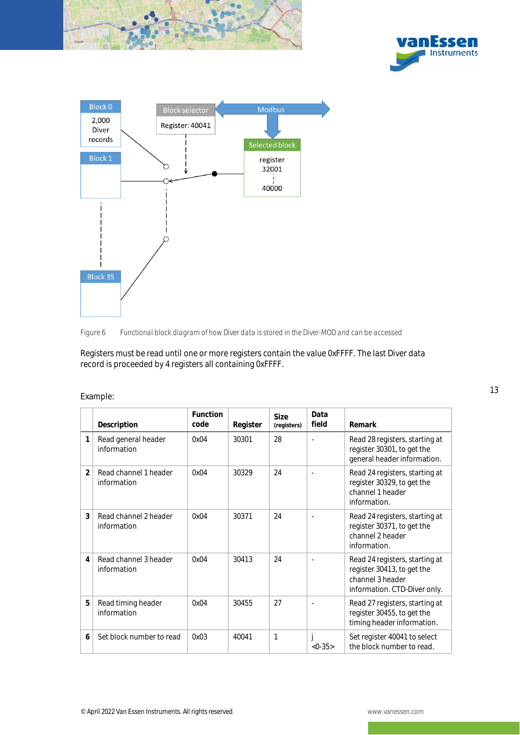





<span id="page-17-0"></span>

Registers must be read until one or more registers contain the value 0xFFFF. The last Diver data record is proceeded by 4 registers all containing 0xFFFF.

|                          | Description                          | <b>Function</b><br>code | Register | Size<br>(registers) | Data<br>field | Remark                                                                                                           |
|--------------------------|--------------------------------------|-------------------------|----------|---------------------|---------------|------------------------------------------------------------------------------------------------------------------|
| 1                        | Read general header<br>information   | 0x04                    | 30301    | 28                  | L,            | Read 28 registers, starting at<br>register 30301, to get the<br>general header information.                      |
| $\overline{\mathcal{L}}$ | Read channel 1 header<br>information | 0x04                    | 30329    | 24                  |               | Read 24 registers, starting at<br>register 30329, to get the<br>channel 1 header<br>information.                 |
| 3                        | Read channel 2 header<br>information | 0x04                    | 30371    | 24                  | $\sim$        | Read 24 registers, starting at<br>register 30371, to get the<br>channel 2 header<br>information.                 |
| $\overline{4}$           | Read channel 3 header<br>information | 0x04                    | 30413    | 24                  |               | Read 24 registers, starting at<br>register 30413, to get the<br>channel 3 header<br>information. CTD-Diver only. |
| 5                        | Read timing header<br>information    | 0x04                    | 30455    | 27                  |               | Read 27 registers, starting at<br>register 30455, to get the<br>timing header information.                       |
| 6                        | Set block number to read             | 0x03                    | 40041    | $\mathbf{1}$        | $<0-35>$      | Set register 40041 to select<br>the block number to read.                                                        |

#### Example: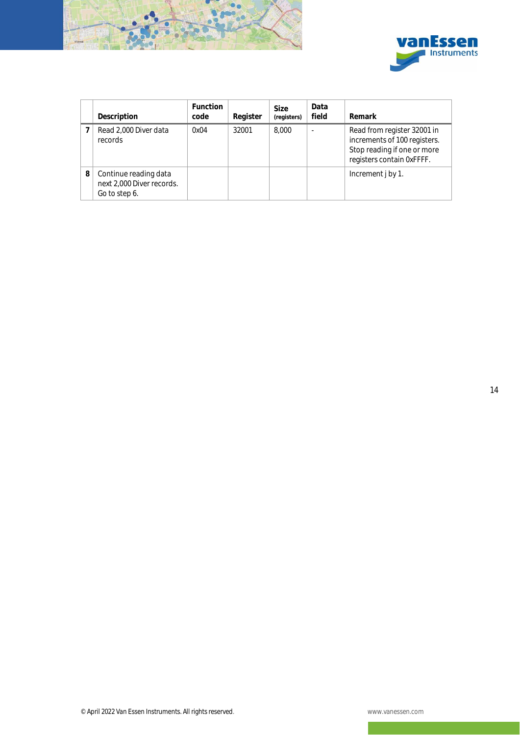



|   | Description                                                         | Function<br>code | Register | Size<br>(registers) | Data<br>field | Remark                                                                                                                  |
|---|---------------------------------------------------------------------|------------------|----------|---------------------|---------------|-------------------------------------------------------------------------------------------------------------------------|
|   | Read 2,000 Diver data<br>records                                    | 0x04             | 32001    | 8,000               |               | Read from register 32001 in<br>increments of 100 registers.<br>Stop reading if one or more<br>registers contain 0xFFFF. |
| 8 | Continue reading data<br>next 2,000 Diver records.<br>Go to step 6. |                  |          |                     |               | Increment j by 1.                                                                                                       |

14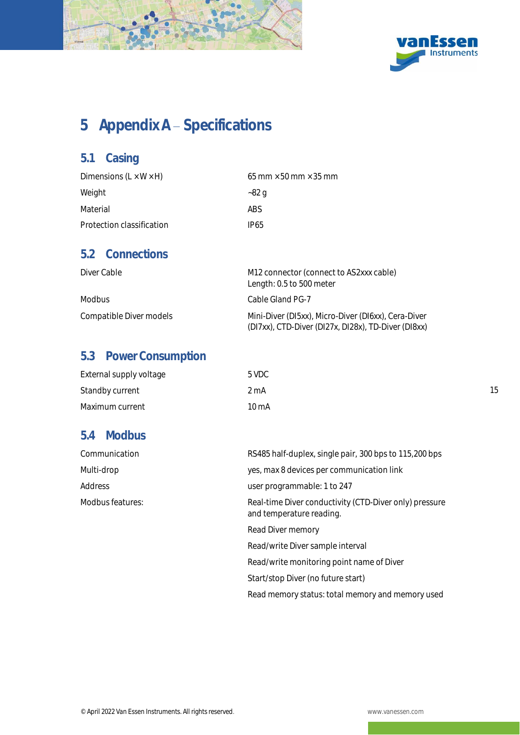



15

# <span id="page-19-0"></span>5 Appendix A - Specifications

### <span id="page-19-1"></span>5.1 Casing

| Dimensions $(L \times W \times H)$ | 65 mm $\times$ 50 mm $\times$ 35 mm |
|------------------------------------|-------------------------------------|
| Weight                             | ~82 a                               |
| Material                           | ABS.                                |
| Protection classification          | IP65                                |

### <span id="page-19-2"></span>5.2 Connections

| Diver Cable             | M12 connector (connect to AS2xxx cable)<br>Length: 0.5 to 500 meter                                        |
|-------------------------|------------------------------------------------------------------------------------------------------------|
| Modbus                  | Cable Gland PG-7                                                                                           |
| Compatible Diver models | Mini-Diver (DI5xx), Micro-Diver (DI6xx), Cera-Diver<br>(DI7xx), CTD-Diver (DI27x, DI28x), TD-Diver (DI8xx) |

### <span id="page-19-3"></span>5.3 Power Consumption

| External supply voltage | 5 VDC           |
|-------------------------|-----------------|
| Standby current         | 2 mA            |
| Maximum current         | $10 \text{ mA}$ |

### <span id="page-19-4"></span>5.4 Modbus

| Communication    | RS485 half-duplex, single pair, 300 bps to 115,200 bps                             |  |  |
|------------------|------------------------------------------------------------------------------------|--|--|
| Multi-drop       | yes, max 8 devices per communication link                                          |  |  |
| Address          | user programmable: 1 to 247                                                        |  |  |
| Modbus features: | Real-time Diver conductivity (CTD-Diver only) pressure<br>and temperature reading. |  |  |
|                  | Read Diver memory                                                                  |  |  |
|                  | Read/write Diver sample interval                                                   |  |  |
|                  |                                                                                    |  |  |

Read/write monitoring point name of Diver

Start/stop Diver (no future start)

Read memory status: total memory and memory used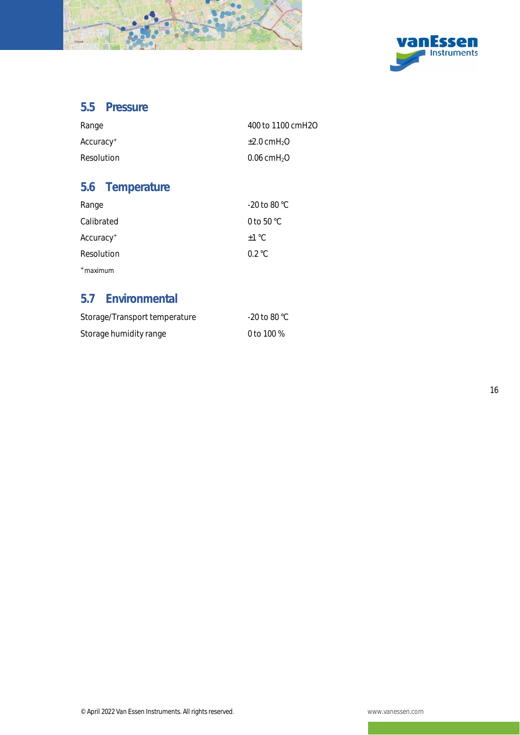



### <span id="page-20-0"></span>5.5 Pressure

| Range                 | 400 to 1100 cmH2O            |
|-----------------------|------------------------------|
| Accuracy <sup>+</sup> | $\pm 2.0$ cmH <sub>2</sub> O |
| Resolution            | $0.06$ cmH <sub>2</sub> O    |

## <span id="page-20-1"></span>5.6 Temperature

| Range                 | $-20$ to 80 °C       |
|-----------------------|----------------------|
| Calibrated            | 0 to 50 $^{\circ}$ C |
| Accuracy <sup>+</sup> | $+1\degree$ C        |
| Resolution            | $0.2 \degree C$      |
| $+$ maximum           |                      |

### <span id="page-20-2"></span>5.7 Environmental

| Storage/Transport temperature | $-20$ to 80 °C. |
|-------------------------------|-----------------|
| Storage humidity range        | 0 to 100 $%$    |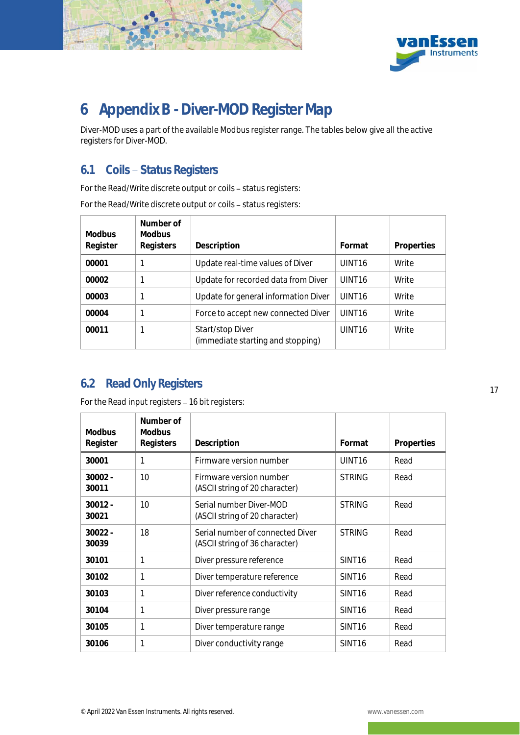



# <span id="page-21-0"></span>6 Appendix B - Diver-MOD Register Map

Diver-MOD uses a part of the available Modbus register range. The tables below give all the active registers for Diver-MOD.

### <span id="page-21-1"></span>6.1 Coils - Status Registers

For the Read/Write discrete output or coils - status registers:

For the Read/Write discrete output or coils - status registers:

| <b>Modbus</b><br>Register | Number of<br><b>Modbus</b><br>Registers | Description                                           | Format             | Properties |
|---------------------------|-----------------------------------------|-------------------------------------------------------|--------------------|------------|
| 00001                     |                                         | Update real-time values of Diver                      | UINT <sub>16</sub> | Write      |
|                           |                                         |                                                       |                    |            |
| 00002                     |                                         | Update for recorded data from Diver                   | UINT <sub>16</sub> | Write      |
| 00003                     |                                         | Update for general information Diver                  | UINT <sub>16</sub> | Write      |
| 00004                     |                                         | Force to accept new connected Diver                   | UINT <sub>16</sub> | Write      |
| 00011                     |                                         | Start/stop Diver<br>(immediate starting and stopping) | UINT <sub>16</sub> | Write      |

### <span id="page-21-2"></span>6.2 Read Only Registers

For the Read input registers - 16 bit registers:

| <b>Modbus</b><br>Register | Number of<br><b>Modbus</b><br>Registers | Description                                                        | Format             | Properties |
|---------------------------|-----------------------------------------|--------------------------------------------------------------------|--------------------|------------|
| 30001                     | 1                                       | Firmware version number                                            | UINT16             | Read       |
| $30002 -$<br>30011        | 10                                      | Firmware version number<br>(ASCII string of 20 character)          | <b>STRING</b>      | Read       |
| $30012 -$<br>30021        | 10                                      | Serial number Diver-MOD<br>(ASCII string of 20 character)          | <b>STRING</b>      | Read       |
| $30022 -$<br>30039        | 18                                      | Serial number of connected Diver<br>(ASCII string of 36 character) | <b>STRING</b>      | Read       |
| 30101                     | 1                                       | Diver pressure reference                                           | SINT <sub>16</sub> | Read       |
| 30102                     | 1                                       | Diver temperature reference                                        | SINT <sub>16</sub> | Read       |
| 30103                     | 1                                       | Diver reference conductivity                                       | SINT <sub>16</sub> | Read       |
| 30104                     | 1                                       | Diver pressure range                                               | SINT <sub>16</sub> | Read       |
| 30105                     | 1                                       | Diver temperature range                                            | SINT <sub>16</sub> | Read       |
| 30106                     | 1                                       | Diver conductivity range                                           | SINT <sub>16</sub> | Read       |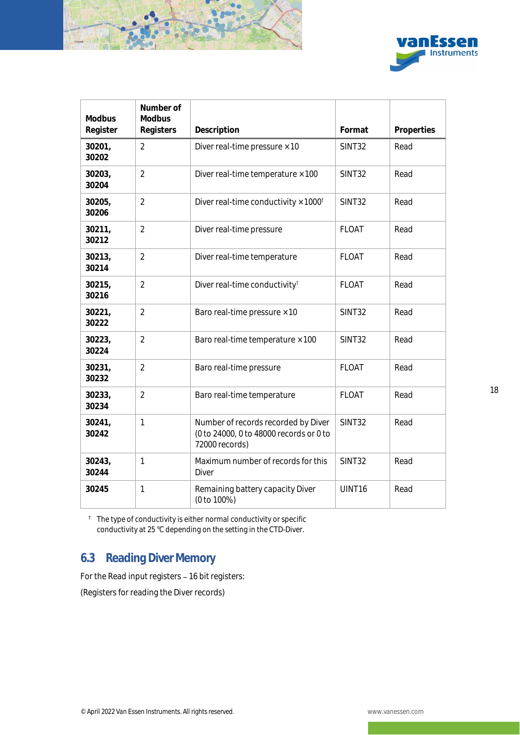



| <b>Modbus</b><br>Register | Number of<br>Modbus<br>Registers | Description                                                                                      | Format        | Properties |
|---------------------------|----------------------------------|--------------------------------------------------------------------------------------------------|---------------|------------|
| 30201,<br>30202           | $\overline{2}$                   | Diver real-time pressure $\times$ 10                                                             | SINT32        | Read       |
| 30203,<br>30204           | $\overline{2}$                   | Diver real-time temperature × 100                                                                | <b>SINT32</b> | Read       |
| 30205,<br>30206           | $\overline{2}$                   | Diver real-time conductivity $\times$ 1000 <sup>t</sup>                                          | SINT32        | Read       |
| 30211,<br>30212           | $\overline{2}$                   | Diver real-time pressure                                                                         | <b>FLOAT</b>  | Read       |
| 30213,<br>30214           | $\overline{2}$                   | Diver real-time temperature                                                                      | <b>FLOAT</b>  | Read       |
| 30215,<br>30216           | $\overline{2}$                   | Diver real-time conductivity <sup>t</sup>                                                        | <b>FLOAT</b>  | Read       |
| 30221,<br>30222           | $\overline{2}$                   | Baro real-time pressure × 10                                                                     | SINT32        | Read       |
| 30223,<br>30224           | $\overline{2}$                   | Baro real-time temperature × 100                                                                 | SINT32        | Read       |
| 30231,<br>30232           | $\overline{2}$                   | Baro real-time pressure                                                                          | <b>FLOAT</b>  | Read       |
| 30233,<br>30234           | $\overline{2}$                   | Baro real-time temperature                                                                       | <b>FLOAT</b>  | Read       |
| 30241,<br>30242           | $\mathbf{1}$                     | Number of records recorded by Diver<br>(0 to 24000, 0 to 48000 records or 0 to<br>72000 records) | SINT32        | Read       |
| 30243,<br>30244           | $\mathbf{1}$                     | Maximum number of records for this<br><b>Diver</b>                                               | SINT32        | Read       |
| 30245                     | 1                                | Remaining battery capacity Diver<br>(0 to 100%)                                                  | UINT16        | Read       |

The type of conductivity is either normal conductivity or specific conductivity at 25 °C depending on the setting in the CTD-Diver.

### <span id="page-22-0"></span>6.3 Reading Diver Memory

For the Read input registers - 16 bit registers:

(Registers for reading the Diver records)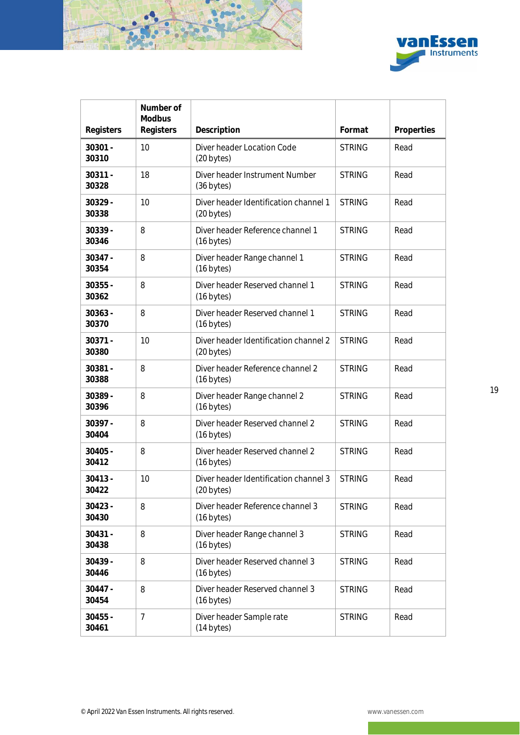



|                    | Number of<br>Modbus |                                                          |               |            |
|--------------------|---------------------|----------------------------------------------------------|---------------|------------|
| Registers          | Registers           | Description                                              | Format        | Properties |
| $30301 -$<br>30310 | 10                  | Diver header Location Code<br>(20 bytes)                 | <b>STRING</b> | Read       |
| $30311 -$<br>30328 | 18                  | Diver header Instrument Number<br>(36 bytes)             | <b>STRING</b> | Read       |
| 30329 -<br>30338   | 10                  | Diver header Identification channel 1<br>(20 bytes)      | <b>STRING</b> | Read       |
| 30339 -<br>30346   | 8                   | Diver header Reference channel 1<br>(16 bytes)           | <b>STRING</b> | Read       |
| 30347 -<br>30354   | 8                   | Diver header Range channel 1<br>$(16 \text{ bytes})$     | <b>STRING</b> | Read       |
| $30355 -$<br>30362 | 8                   | Diver header Reserved channel 1<br>(16 bytes)            | <b>STRING</b> | Read       |
| 30363 -<br>30370   | 8                   | Diver header Reserved channel 1<br>$(16 \text{ bytes})$  | <b>STRING</b> | Read       |
| 30371 -<br>30380   | 10                  | Diver header Identification channel 2<br>(20 bytes)      | <b>STRING</b> | Read       |
| 30381 -<br>30388   | 8                   | Diver header Reference channel 2<br>(16 bytes)           | <b>STRING</b> | Read       |
| 30389 -<br>30396   | 8                   | Diver header Range channel 2<br>$(16 \text{ bytes})$     | <b>STRING</b> | Read       |
| 30397 -<br>30404   | 8                   | Diver header Reserved channel 2<br>$(16 \text{ bytes})$  | <b>STRING</b> | Read       |
| $30405 -$<br>30412 | 8                   | Diver header Reserved channel 2<br>(16 bytes)            | <b>STRING</b> | Read       |
| $30413 -$<br>30422 | 10                  | Diver header Identification channel 3<br>(20 bytes)      | <b>STRING</b> | Read       |
| $30423 -$<br>30430 | 8                   | Diver header Reference channel 3<br>$(16 \text{ bytes})$ | <b>STRING</b> | Read       |
| $30431 -$<br>30438 | 8                   | Diver header Range channel 3<br>$(16 \text{ bytes})$     | <b>STRING</b> | Read       |
| $30439 -$<br>30446 | 8                   | Diver header Reserved channel 3<br>$(16 \text{ bytes})$  | <b>STRING</b> | Read       |
| 30447 -<br>30454   | 8                   | Diver header Reserved channel 3<br>$(16 \text{ bytes})$  | <b>STRING</b> | Read       |
| $30455 -$<br>30461 | $\overline{7}$      | Diver header Sample rate<br>(14 bytes)                   | <b>STRING</b> | Read       |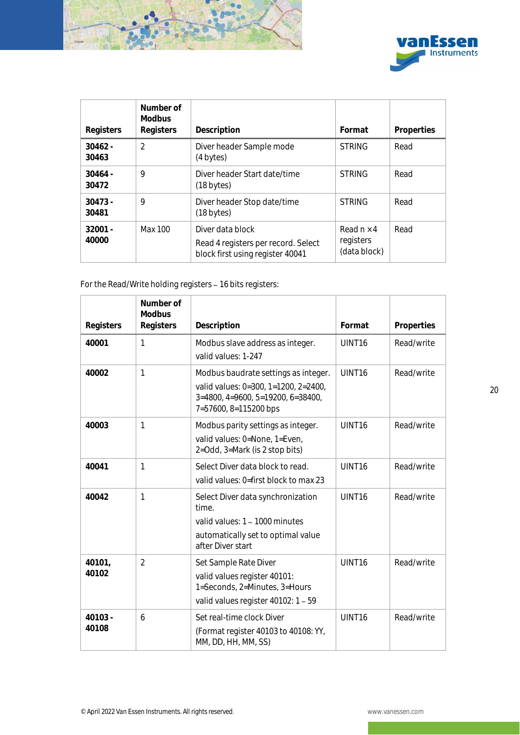



| Registers          | Number of<br><b>Modbus</b><br>Registers | Description                                                                                 | Format                                         | Properties |
|--------------------|-----------------------------------------|---------------------------------------------------------------------------------------------|------------------------------------------------|------------|
| $30462 -$<br>30463 | $\mathcal{P}$                           | Diver header Sample mode<br>(4 bytes)                                                       | <b>STRING</b>                                  | Read       |
| $30464 -$<br>30472 | 9                                       | Diver header Start date/time<br>$(18 \text{ bytes})$                                        | <b>STRING</b>                                  | Read       |
| $30473 -$<br>30481 | 9                                       | Diver header Stop date/time<br>(18 bytes)                                                   | <b>STRING</b>                                  | Read       |
| $32001 -$<br>40000 | Max 100                                 | Diver data block<br>Read 4 registers per record. Select<br>block first using register 40041 | Read $n \times 4$<br>registers<br>(data block) | Read       |

For the Read/Write holding registers - 16 bits registers:

| Registers        | Number of<br>Modbus<br>Registers | Description                                                                                                                                            | Format             | Properties |
|------------------|----------------------------------|--------------------------------------------------------------------------------------------------------------------------------------------------------|--------------------|------------|
| 40001            | $\mathbf{1}$                     | Modbus slave address as integer.<br>valid values: 1-247                                                                                                | UINT16             | Read/write |
| 40002            | $\mathbf{1}$                     | Modbus baudrate settings as integer.<br>valid values: 0=300, 1=1200, 2=2400,<br>$3=4800$ , $4=9600$ , $5=19200$ , $6=38400$ ,<br>7=57600, 8=115200 bps | UINT <sub>16</sub> | Read/write |
| 40003            | 1                                | Modbus parity settings as integer.<br>valid values: 0=None, 1=Even,<br>2=Odd, 3=Mark (is 2 stop bits)                                                  | UINT16             | Read/write |
| 40041            | 1                                | Select Diver data block to read.<br>valid values: 0=first block to max 23                                                                              | UINT <sub>16</sub> | Read/write |
| 40042            | 1                                | Select Diver data synchronization<br>time.<br>valid values: 1 - 1000 minutes<br>automatically set to optimal value<br>after Diver start                | UINT <sub>16</sub> | Read/write |
| 40101,<br>40102  | $\overline{2}$                   | Set Sample Rate Diver<br>valid values register 40101:<br>1=Seconds, 2=Minutes, 3=Hours<br>valid values register 40102: 1 - 59                          | UINT <sub>16</sub> | Read/write |
| 40103 -<br>40108 | 6                                | Set real-time clock Diver<br>(Format register 40103 to 40108: YY,<br>MM, DD, HH, MM, SS)                                                               | UINT <sub>16</sub> | Read/write |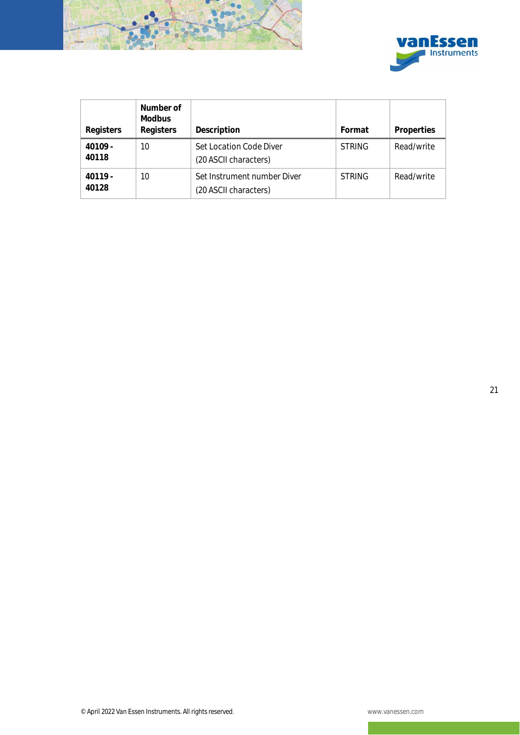



| Registers          | Number of<br>Modbus<br>Registers | Description                                          | Format        | Properties |
|--------------------|----------------------------------|------------------------------------------------------|---------------|------------|
| $40109 -$<br>40118 | 10                               | Set Location Code Diver<br>(20 ASCII characters)     | <b>STRING</b> | Read/write |
| $40119 -$<br>40128 | 10                               | Set Instrument number Diver<br>(20 ASCII characters) | <b>STRING</b> | Read/write |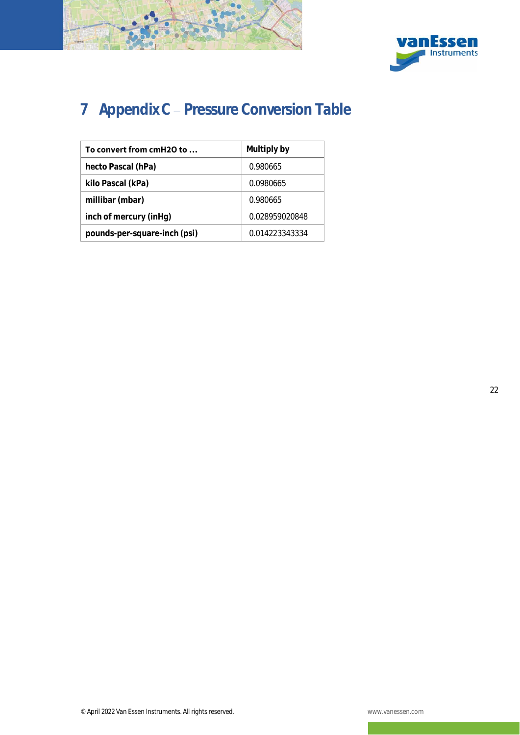



# <span id="page-26-0"></span>7 Appendix C - Pressure Conversion Table

| To convert from cmH2O to     | Multiply by    |  |
|------------------------------|----------------|--|
| hecto Pascal (hPa)           | 0.980665       |  |
| kilo Pascal (kPa)            | 0.0980665      |  |
| millibar (mbar)              | 0.980665       |  |
| inch of mercury (inHg)       | 0.028959020848 |  |
| pounds-per-square-inch (psi) | 0.014223343334 |  |

22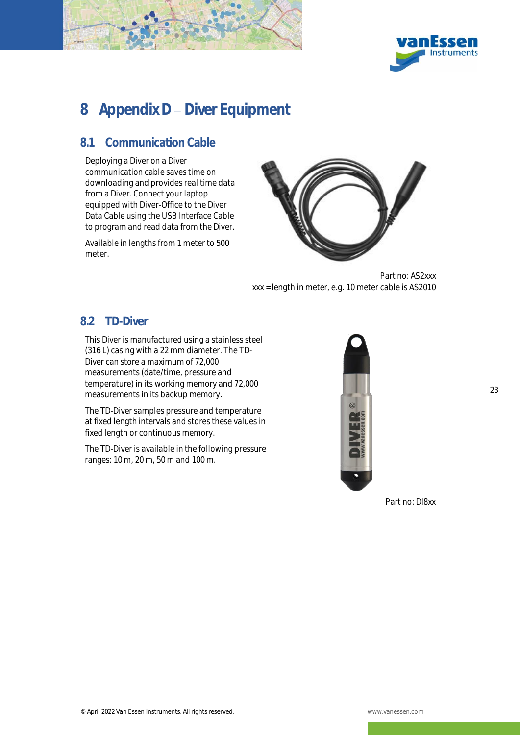



# <span id="page-27-0"></span>8 Appendix D - Diver Equipment

### <span id="page-27-1"></span>8.1 Communication Cable

Deploying a Diver on a Diver communication cable saves time on downloading and provides real time data from a Diver. Connect your laptop equipped with Diver-Office to the Diver Data Cable using the USB Interface Cable to program and read data from the Diver.

Available in lengths from 1 meter to 500 meter.



Part no: AS2xxx xxx = length in meter, e.g. 10 meter cable is AS2010

### <span id="page-27-2"></span>8.2 TD-Diver

This Diver is manufactured using a stainless steel (316 L) casing with a 22 mm diameter. The TD-Diver can store a maximum of 72,000 measurements (date/time, pressure and temperature) in its working memory and 72,000 measurements in its backup memory.

The TD-Diver samples pressure and temperature at fixed length intervals and stores these values in fixed length or continuous memory.

The TD-Diver is available in the following pressure ranges: 10 m, 20 m, 50 m and 100 m.



Part no: DI8xx

23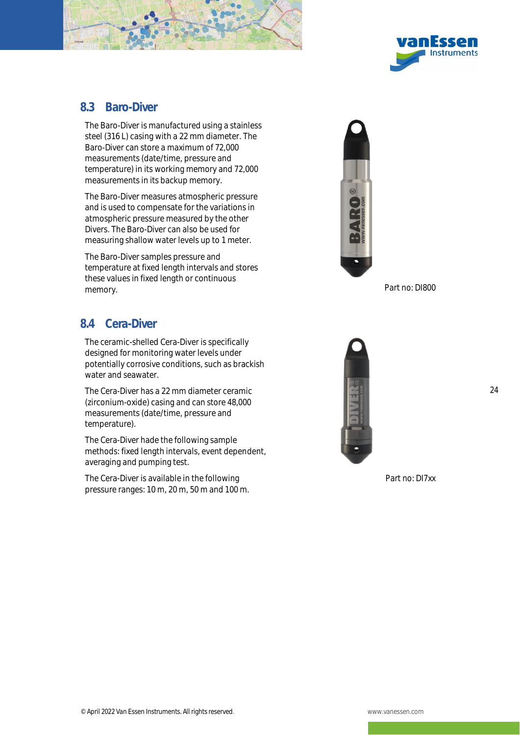



### <span id="page-28-0"></span>8.3 Baro-Diver

The Baro-Diver is manufactured using a stainless steel (316 L) casing with a 22 mm diameter. The Baro-Diver can store a maximum of 72,000 measurements (date/time, pressure and temperature) in its working memory and 72,000 measurements in its backup memory.

The Baro-Diver measures atmospheric pressure and is used to compensate for the variations in atmospheric pressure measured by the other Divers. The Baro-Diver can also be used for measuring shallow water levels up to 1 meter.

The Baro-Diver samples pressure and temperature at fixed length intervals and stores these values in fixed length or continuous memory. **Part no: DI800** 

### <span id="page-28-1"></span>8.4 Cera-Diver

The ceramic-shelled Cera-Diver is specifically designed for monitoring water levels under potentially corrosive conditions, such as brackish water and seawater.

The Cera-Diver has a 22 mm diameter ceramic (zirconium-oxide) casing and can store 48,000 measurements (date/time, pressure and temperature).

The Cera-Diver hade the following sample methods: fixed length intervals, event dependent, averaging and pumping test.

The Cera-Diver is available in the following pressure ranges: 10 m, 20 m, 50 m and 100 m.





24

Part no: DI7xx